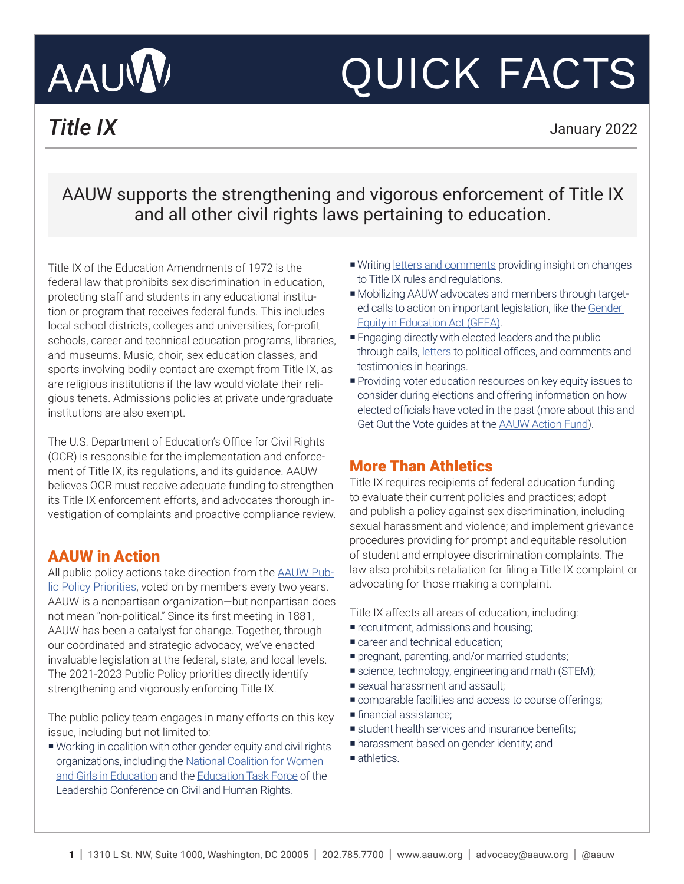# AAUW

# QUICK FACTS

*Title IX* January 2022

## AAUW supports the strengthening and vigorous enforcement of Title IX and all other civil rights laws pertaining to education.

Title IX of the Education Amendments of 1972 is the federal law that prohibits sex discrimination in education, protecting staff and students in any educational institution or program that receives federal funds. This includes local school districts, colleges and universities, for-profit schools, career and technical education programs, libraries, and museums. Music, choir, sex education classes, and sports involving bodily contact are exempt from Title IX, as are religious institutions if the law would violate their religious tenets. Admissions policies at private undergraduate institutions are also exempt.

The U.S. Department of Education's Office for Civil Rights (OCR) is responsible for the implementation and enforcement of Title IX, its regulations, and its guidance. AAUW believes OCR must receive adequate funding to strengthen its Title IX enforcement efforts, and advocates thorough investigation of complaints and proactive compliance review.

### AAUW in Action

All public policy actions take direction from the [AAUW Pub](https://www.aauw.org/resources/policy/aauw-public-policy-priorities/)[lic Policy Priorities](https://www.aauw.org/resources/policy/aauw-public-policy-priorities/), voted on by members every two years. AAUW is a nonpartisan organization—but nonpartisan does not mean "non-political." Since its first meeting in 1881, AAUW has been a catalyst for change. Together, through our coordinated and strategic advocacy, we've enacted invaluable legislation at the federal, state, and local levels. The 2021-2023 Public Policy priorities directly identify strengthening and vigorously enforcing Title IX.

The public policy team engages in many efforts on this key issue, including but not limited to:

¡ Working in coalition with other gender equity and civil rights organizations, including the [National Coalition for Women](https://www.ncwge.org/)  [and Girls in Education](https://www.ncwge.org/) and the [Education Task Force](https://civilrights.org/about/taskforces/) of the Leadership Conference on Civil and Human Rights.

- Writing [letters and comments](https://www.aauw.org/resources/policy/documents/) providing insight on changes to Title IX rules and regulations.
- ¡ Mobilizing AAUW advocates and members through targeted calls to action on important legislation, like the [Gender](https://www.aauw.org/act/two-minute-activist/geea/)  [Equity in Education Act \(GEEA\)](https://www.aauw.org/act/two-minute-activist/geea/).
- **Engaging directly with elected leaders and the public** through calls, [letters](https://www.aauw.org/resources/policy/documents/) to political offices, and comments and testimonies in hearings.
- ¡Providing voter education resources on key equity issues to consider during elections and offering information on how elected officials have voted in the past (more about this and Get Out the Vote guides at the **AAUW Action Fund**).

### More Than Athletics

Title IX requires recipients of federal education funding to evaluate their current policies and practices; adopt and publish a policy against sex discrimination, including sexual harassment and violence; and implement grievance procedures providing for prompt and equitable resolution of student and employee discrimination complaints. The law also prohibits retaliation for filing a Title IX complaint or advocating for those making a complaint.

Title IX affects all areas of education, including:

- **recruitment, admissions and housing;**
- **E** career and technical education;
- **•** pregnant, parenting, and/or married students;
- science, technology, engineering and math (STEM);
- **s** sexual harassment and assault;
- ¡ comparable facilities and access to course offerings;
- ¡ financial assistance;
- **s** student health services and insurance benefits;
- **•** harassment based on gender identity; and
- athletics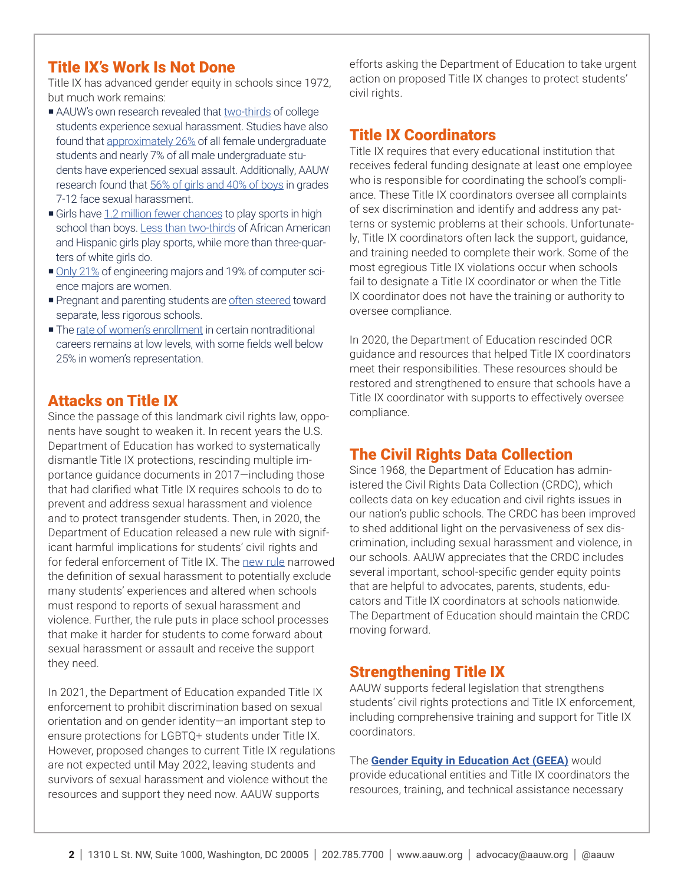#### Title IX's Work Is Not Done

Title IX has advanced gender equity in schools since 1972, but much work remains:

- AAUW's own research revealed that [two-thirds](https://www.aauw.org/resources/research/crossing-the-line-sexual-harassment-at-school/) of college students experience sexual harassment. Studies have also found that [approximately 26%](https://www.aau.edu/key-issues/campus-climate-and-safety/aau-campus-climate-survey-2019) of all female undergraduate students and nearly 7% of all male undergraduate students have experienced sexual assault. Additionally, AAUW research found that [56% of girls and 40% of boys](https://www.aauw.org/resources/research/crossing-the-line-sexual-harassment-at-school/) in grades 7-12 face sexual harassment.
- Girls have [1.2 million fewer chances](https://nwlc.org/wp-content/uploads/2015/08/Battle-for-GE-in-Elementary-and-Secondary-Schools.pdf) to play sports in high school than boys. [Less than two-thirds](https://nwlc.org/resources/finishing-last-girls-color-and-school-sports-opportunities/) of African American and Hispanic girls play sports, while more than three-quarters of white girls do.
- ¡ [Only 21%](https://www.aauw.org/resources/research/the-stem-gap/) of engineering majors and 19% of computer science majors are women.
- **Pregnant and parenting students are [often steered](https://nwlc.org/resources/pregnant-and-parenting-students-rights-toolkit/) toward** separate, less rigorous schools.
- The [rate of women's enrollment](https://www.ncwge.org/TitleIX45/Career and Technical Education.pdf) in certain nontraditional careers remains at low levels, with some fields well below 25% in women's representation.

#### Attacks on Title IX

Since the passage of this landmark civil rights law, opponents have sought to weaken it. In recent years the U.S. Department of Education has worked to systematically dismantle Title IX protections, rescinding multiple importance guidance documents in 2017—including those that had clarified what Title IX requires schools to do to prevent and address sexual harassment and violence and to protect transgender students. Then, in 2020, the Department of Education released a new rule with significant harmful implications for students' civil rights and for federal enforcement of Title IX. The [new rule](https://nwlc.org/wp-content/uploads/2020/05/Title-IX-Final-Rule-Factsheet-5.28.20-v3.pdf) narrowed the definition of sexual harassment to potentially exclude many students' experiences and altered when schools must respond to reports of sexual harassment and violence. Further, the rule puts in place school processes that make it harder for students to come forward about sexual harassment or assault and receive the support they need.

In 2021, the Department of Education expanded Title IX enforcement to prohibit discrimination based on sexual orientation and on gender identity—an important step to ensure protections for LGBTQ+ students under Title IX. However, proposed changes to current Title IX regulations are not expected until May 2022, leaving students and survivors of sexual harassment and violence without the resources and support they need now. AAUW supports

efforts asking the Department of Education to take urgent action on proposed Title IX changes to protect students' civil rights.

#### Title IX Coordinators

Title IX requires that every educational institution that receives federal funding designate at least one employee who is responsible for coordinating the school's compliance. These Title IX coordinators oversee all complaints of sex discrimination and identify and address any patterns or systemic problems at their schools. Unfortunately, Title IX coordinators often lack the support, guidance, and training needed to complete their work. Some of the most egregious Title IX violations occur when schools fail to designate a Title IX coordinator or when the Title IX coordinator does not have the training or authority to oversee compliance.

In 2020, the Department of Education rescinded OCR guidance and resources that helped Title IX coordinators meet their responsibilities. These resources should be restored and strengthened to ensure that schools have a Title IX coordinator with supports to effectively oversee compliance.

### The Civil Rights Data Collection

Since 1968, the Department of Education has administered the Civil Rights Data Collection (CRDC), which collects data on key education and civil rights issues in our nation's public schools. The CRDC has been improved to shed additional light on the pervasiveness of sex discrimination, including sexual harassment and violence, in our schools. AAUW appreciates that the CRDC includes several important, school-specific gender equity points that are helpful to advocates, parents, students, educators and Title IX coordinators at schools nationwide. The Department of Education should maintain the CRDC moving forward.

#### Strengthening Title IX

AAUW supports federal legislation that strengthens students' civil rights protections and Title IX enforcement, including comprehensive training and support for Title IX coordinators.

The **[Gender Equity in Education Act \(GEEA\)](https://www.aauw.org/act/two-minute-activist/geea/)** would provide educational entities and Title IX coordinators the resources, training, and technical assistance necessary